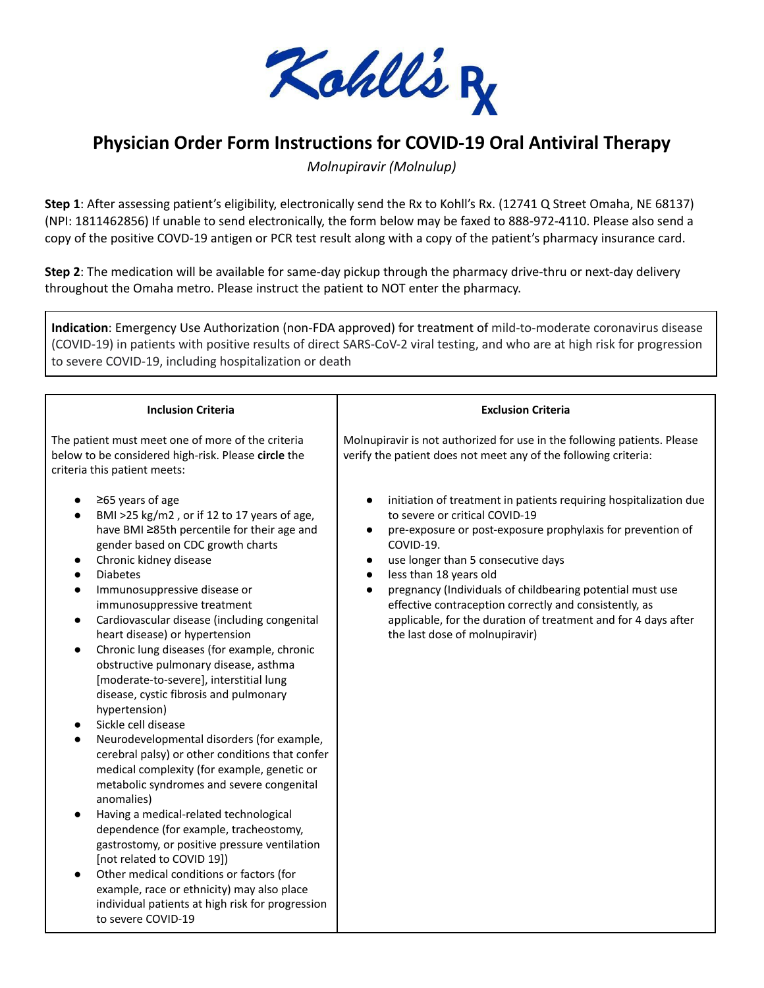

## **Physician Order Form Instructions for COVID-19 Oral Antiviral Therapy**

*Molnupiravir (Molnulup)*

**Step 1**: After assessing patient's eligibility, electronically send the Rx to Kohll's Rx. (12741 Q Street Omaha, NE 68137) (NPI: 1811462856) If unable to send electronically, the form below may be faxed to 888-972-4110. Please also send a copy of the positive COVD-19 antigen or PCR test result along with a copy of the patient's pharmacy insurance card.

**Step 2**: The medication will be available for same-day pickup through the pharmacy drive-thru or next-day delivery throughout the Omaha metro. Please instruct the patient to NOT enter the pharmacy.

**Indication**: Emergency Use Authorization (non-FDA approved) for treatment of mild-to-moderate coronavirus disease (COVID-19) in patients with positive results of direct SARS-CoV-2 viral testing, and who are at high risk for progression to severe COVID-19, including hospitalization or death

| <b>Inclusion Criteria</b>                                                                                                                                                                                                                                                                                                                                                                                                                                                                                                                                                                                                                                                                                                                                                                                                                                                                                                                                                                                                                                                                                                                                                                                                                                        | <b>Exclusion Criteria</b>                                                                                                                                                                                                                                                                                                                                                                                                                                                                                                                   |
|------------------------------------------------------------------------------------------------------------------------------------------------------------------------------------------------------------------------------------------------------------------------------------------------------------------------------------------------------------------------------------------------------------------------------------------------------------------------------------------------------------------------------------------------------------------------------------------------------------------------------------------------------------------------------------------------------------------------------------------------------------------------------------------------------------------------------------------------------------------------------------------------------------------------------------------------------------------------------------------------------------------------------------------------------------------------------------------------------------------------------------------------------------------------------------------------------------------------------------------------------------------|---------------------------------------------------------------------------------------------------------------------------------------------------------------------------------------------------------------------------------------------------------------------------------------------------------------------------------------------------------------------------------------------------------------------------------------------------------------------------------------------------------------------------------------------|
| The patient must meet one of more of the criteria<br>below to be considered high-risk. Please circle the<br>criteria this patient meets:                                                                                                                                                                                                                                                                                                                                                                                                                                                                                                                                                                                                                                                                                                                                                                                                                                                                                                                                                                                                                                                                                                                         | Molnupiravir is not authorized for use in the following patients. Please<br>verify the patient does not meet any of the following criteria:                                                                                                                                                                                                                                                                                                                                                                                                 |
| $\geq$ 65 years of age<br>BMI >25 kg/m2, or if 12 to 17 years of age,<br>$\bullet$<br>have BMI ≥85th percentile for their age and<br>gender based on CDC growth charts<br>Chronic kidney disease<br>$\bullet$<br><b>Diabetes</b><br>$\bullet$<br>Immunosuppressive disease or<br>$\bullet$<br>immunosuppressive treatment<br>Cardiovascular disease (including congenital<br>$\bullet$<br>heart disease) or hypertension<br>Chronic lung diseases (for example, chronic<br>$\bullet$<br>obstructive pulmonary disease, asthma<br>[moderate-to-severe], interstitial lung<br>disease, cystic fibrosis and pulmonary<br>hypertension)<br>Sickle cell disease<br>$\bullet$<br>Neurodevelopmental disorders (for example,<br>$\bullet$<br>cerebral palsy) or other conditions that confer<br>medical complexity (for example, genetic or<br>metabolic syndromes and severe congenital<br>anomalies)<br>Having a medical-related technological<br>$\bullet$<br>dependence (for example, tracheostomy,<br>gastrostomy, or positive pressure ventilation<br>[not related to COVID 19])<br>Other medical conditions or factors (for<br>$\bullet$<br>example, race or ethnicity) may also place<br>individual patients at high risk for progression<br>to severe COVID-19 | initiation of treatment in patients requiring hospitalization due<br>$\bullet$<br>to severe or critical COVID-19<br>pre-exposure or post-exposure prophylaxis for prevention of<br>$\bullet$<br>COVID-19.<br>use longer than 5 consecutive days<br>$\bullet$<br>less than 18 years old<br>$\bullet$<br>pregnancy (Individuals of childbearing potential must use<br>$\bullet$<br>effective contraception correctly and consistently, as<br>applicable, for the duration of treatment and for 4 days after<br>the last dose of molnupiravir) |